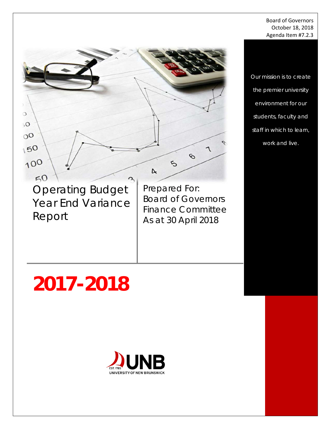#### Board of Governors October 18, 2018 Agenda Item #7.2.3

*Our mission is to create the premier university environment for our students, faculty and staff in which to learn, work and live.* 

 $50$ Operating Budget Year End Variance Report

**B** *Manufacture 1999* 

 $\circ$  $50$ 

 $O<sub>O</sub>$ 

150

100

Prepared For: Board of Governors Finance Committee As at 30 April 2018

 $\mathcal{O}$ 

ъ

А

# **2017-2018**

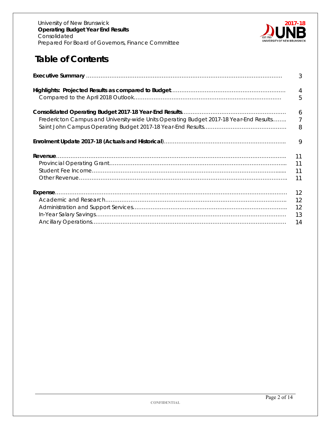

# **Table of Contents**

|                                                                                        | 3              |
|----------------------------------------------------------------------------------------|----------------|
|                                                                                        | $\overline{4}$ |
|                                                                                        | 5              |
|                                                                                        | 6              |
| Fredericton Campus and University-wide Units Operating Budget 2017-18 Year-End Results | $\overline{7}$ |
|                                                                                        | 8              |
|                                                                                        | 9              |
|                                                                                        | 11             |
|                                                                                        | 11             |
|                                                                                        | 11             |
|                                                                                        | 11             |
|                                                                                        | 12             |
|                                                                                        | 12             |
|                                                                                        | 12             |
|                                                                                        | 13             |
|                                                                                        | 14             |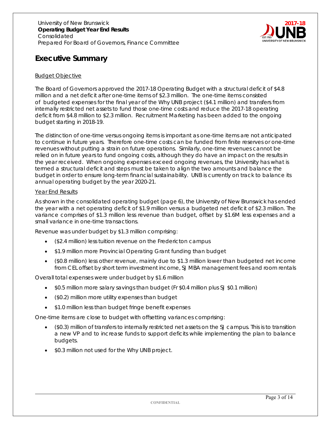

## **Executive Summary**

#### Budget Objective

The Board of Governors approved the 2017-18 Operating Budget with a structural deficit of \$4.8 million and a net deficit after one-time items of \$2.3 million. The one-time items consisted of budgeted expenses for the final year of the Why UNB project (\$4.1 million) and transfers from internally restricted net assets to fund those one-time costs and reduce the 2017-18 operating deficit from \$4.8 million to \$2.3 million. Recruitment Marketing has been added to the ongoing budget starting in 2018-19.

The distinction of one-time versus ongoing items is important as one-time items are not anticipated to continue in future years. Therefore one-time costs can be funded from finite reserves or one-time revenues without putting a strain on future operations. Similarly, one-time revenues cannot be relied on in future years to fund ongoing costs, although they do have an impact on the results in the year received. When ongoing expenses exceed ongoing revenues, the University has what is termed a structural deficit and steps must be taken to align the two amounts and balance the budget in order to ensure long-term financial sustainability. UNB is currently on track to balance its annual operating budget by the year 2020-21.

#### Year End Results

As shown in the consolidated operating budget (page 6), the University of New Brunswick has ended the year with a net operating deficit of \$1.9 million versus a budgeted net deficit of \$2.3 million. The variance comprises of \$1.3 million less revenue than budget, offset by \$1.6M less expenses and a small variance in one-time transactions.

Revenue was under budget by \$1.3 million comprising:

- (\$2.4 million) less tuition revenue on the Fredericton campus
- \$1.9 million more Provincial Operating Grant funding than budget
- (\$0.8 million) less other revenue, mainly due to \$1.3 million lower than budgeted net income from CEL offset by short term investment income, SJ MBA management fees and room rentals

Overall total expenses were under budget by \$1.6 million

- \$0.5 million more salary savings than budget (Fr \$0.4 million plus SJ \$0.1 million)
- (\$0.2) million more utility expenses than budget
- \$1.0 million less than budget fringe benefit expenses

One-time items are close to budget with offsetting variances comprising:

- (\$0.3) million of transfers to internally restricted net assets on the SJ campus. This is to transition a new VP and to increase funds to support deficits while implementing the plan to balance budgets.
- \$0.3 million not used for the Why UNB project.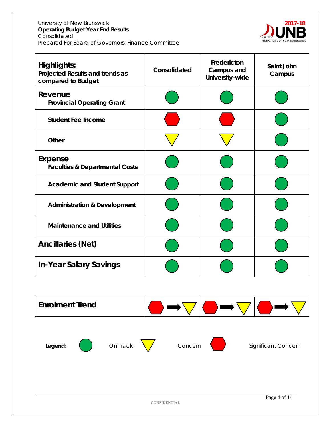

| Highlights:<br>Projected Results and trends as<br>compared to Budget | Consolidated | Fredericton<br>Campus and<br>University-wide | Saint John<br>Campus |
|----------------------------------------------------------------------|--------------|----------------------------------------------|----------------------|
| Revenue<br><b>Provincial Operating Grant</b>                         |              |                                              |                      |
| <b>Student Fee Income</b>                                            |              |                                              |                      |
| Other                                                                |              |                                              |                      |
| Expense<br><b>Faculties &amp; Departmental Costs</b>                 |              |                                              |                      |
| <b>Academic and Student Support</b>                                  |              |                                              |                      |
| <b>Administration &amp; Development</b>                              |              |                                              |                      |
| <b>Maintenance and Utilities</b>                                     |              |                                              |                      |
| <b>Ancillaries (Net)</b>                                             |              |                                              |                      |
| <b>In-Year Salary Savings</b>                                        |              |                                              |                      |

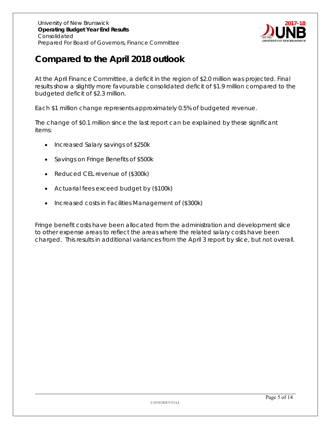

# **Compared to the April 2018 outlook**

At the April Finance Committee, a deficit in the region of \$2.0 million was projected. Final results show a slightly more favourable consolidated deficit of \$1.9 million compared to the budgeted deficit of \$2.3 million.

Each \$1 million change represents approximately 0.5% of budgeted revenue.

The change of \$0.1 million since the last report can be explained by these significant items:

- Increased Salary savings of \$250k
- Savings on Fringe Benefits of \$500k
- Reduced CEL revenue of (\$300k)
- Actuarial fees exceed budget by (\$100k)
- Increased costs in Facilities Management of (\$300k)

Fringe benefit costs have been allocated from the administration and development slice to other expense areas to reflect the areas where the related salary costs have been charged. This results in additional variances from the April 3 report by slice, but not overall.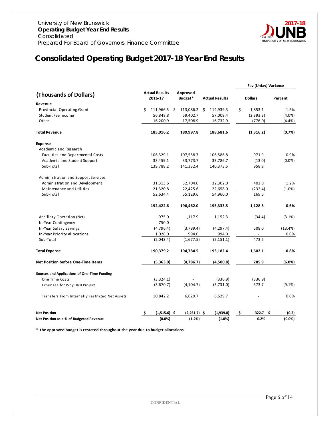

# **Consolidated Operating Budget 2017-18 Year End Results**

|                                                     |                       |                |                       | Fav (Unfav) Variance |             |
|-----------------------------------------------------|-----------------------|----------------|-----------------------|----------------------|-------------|
| (Thousands of Dollars)                              | <b>Actual Results</b> | Approved       |                       |                      |             |
| Revenue                                             | 2016-17               | Budget*        | <b>Actual Results</b> | <b>Dollars</b>       | Percent     |
| Provincial Operating Grant                          | \$<br>111,966.5 \$    | 113,086.2      | \$<br>114,939.3       | \$<br>1,853.1        | 1.6%        |
| Student Fee Income                                  | 56,848.8              | 59,402.7       | 57,009.4              | (2,393.3)            | $(4.0\%)$   |
| Other                                               | 16,200.9              | 17,508.9       | 16,732.9              | (776.0)              | (4.4%)      |
| <b>Total Revenue</b>                                | 185,016.2             | 189,997.8      | 188,681.6             | (1,316.2)            | (0.7%)      |
| <b>Expense</b>                                      |                       |                |                       |                      |             |
| Academic and Research                               |                       |                |                       |                      |             |
| Faculties and Departmental Costs                    | 106,329.1             | 107,558.7      | 106,586.8             | 971.9                | 0.9%        |
| Academic and Student Support                        | 33,459.1              | 33,773.7       | 33,786.7              | (13.0)               | $(0.0\%)$   |
| Sub-Total                                           | 139,788.2             | 141,332.4      | 140,373.5             | 958.9                |             |
| Administration and Support Services                 |                       |                |                       |                      |             |
| Administration and Development                      | 31,313.6              | 32,704.0       | 32,302.0              | 402.0                | 1.2%        |
| Maintenance and Utilities                           | 21,320.8              | 22,425.6       | 22,658.0              | (232.4)              | $(1.0\%)$   |
| Sub-Total                                           | 52,634.4              | 55,129.6       | 54,960.0              | 169.6                |             |
|                                                     | 192,422.6             | 196,462.0      | 195,333.5             | 1,128.5              | 0.6%        |
| Ancillary Operation (Net)                           | 975.0                 | 1,117.9        | 1,152.3               | (34.4)               | (3.1%)      |
| In-Year Contingency                                 | 750.0                 |                |                       |                      |             |
| In-Year Salary Savings                              | (4,796.4)             | (3,789.4)      | (4, 297.4)            | 508.0                | (13.4%)     |
| In-Year Priority Allocations                        | 1,028.0               | 994.0          | 994.0                 |                      | 0.0%        |
| Sub-Total                                           | (2,043.4)             | (1,677.5)      | (2, 151.1)            | 473.6                |             |
| <b>Total Expense</b>                                | 190,379.2             | 194,784.5      | 193,182.4             | 1,602.1              | 0.8%        |
| <b>Net Position before One-Time Items</b>           | (5,363.0)             | (4,786.7)      | (4,500.8)             | 285.9                | (6.0%)      |
| <b>Sources and Applications of One-Time Funding</b> |                       |                |                       |                      |             |
| One Time Costs                                      | (3,324.1)             |                | (336.9)               | (336.9)              |             |
| Expenses for Why UNB Project                        | (3,670.7)             | (4, 104.7)     | (3,731.0)             | 373.7                | $(9.1\%)$   |
| Transfers From Internally Restricted Net Assets     | 10,842.2              | 6,629.7        | 6,629.7               |                      | 0.0%        |
| <b>Net Position</b>                                 | $(1,515.6)$ \$        | $(2,261.7)$ \$ | (1,939.0)             | \$<br>322.7          | Ŝ.<br>(0.2) |
| Net Position as a % of Budgeted Revenue             | (0.8%)                | (1.2%)         | (1.0%)                | 0.2%                 | $(0.0\%)$   |

**\* the approved budget is restated throughout the year due to budget allocations**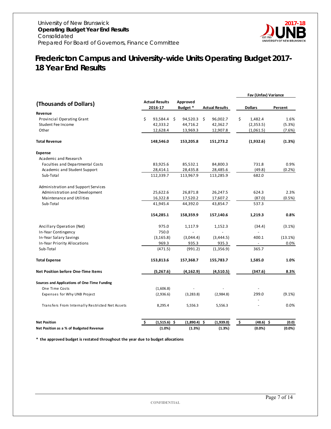

## *Fredericton Campus and University-wide Units Operating Budget 2017- 18 Year End Results*

|                                                 |    |                       |  |                |  |                       | Fav (Unfav) Variance |                |           |  |
|-------------------------------------------------|----|-----------------------|--|----------------|--|-----------------------|----------------------|----------------|-----------|--|
| (Thousands of Dollars)                          |    | <b>Actual Results</b> |  | Approved       |  |                       |                      |                |           |  |
|                                                 |    | 2016-17               |  | Budget *       |  | <b>Actual Results</b> |                      | <b>Dollars</b> | Percent   |  |
| Revenue                                         |    |                       |  |                |  |                       |                      |                |           |  |
| Provincial Operating Grant                      | \$ | 93,584.4 \$           |  | 94,520.3 \$    |  | 96,002.7              | \$                   | 1,482.4        | 1.6%      |  |
| Student Fee Income                              |    | 42,333.2              |  | 44,716.2       |  | 42,362.7              |                      | (2,353.5)      | (5.3%)    |  |
| Other                                           |    | 12,628.4              |  | 13,969.3       |  | 12,907.8              |                      | (1,061.5)      | (7.6%)    |  |
| <b>Total Revenue</b>                            |    | 148,546.0             |  | 153,205.8      |  | 151,273.2             |                      | (1,932.6)      | (1.3%)    |  |
| <b>Expense</b>                                  |    |                       |  |                |  |                       |                      |                |           |  |
| Academic and Research                           |    |                       |  |                |  |                       |                      |                |           |  |
| Faculties and Departmental Costs                |    | 83,925.6              |  | 85,532.1       |  | 84,800.3              |                      | 731.8          | 0.9%      |  |
| Academic and Student Support                    |    | 28,414.1              |  | 28,435.8       |  | 28,485.6              |                      | (49.8)         | (0.2%     |  |
| Sub-Total                                       |    | 112,339.7             |  | 113,967.9      |  | 113,285.9             |                      | 682.0          |           |  |
| Administration and Support Services             |    |                       |  |                |  |                       |                      |                |           |  |
| Administration and Development                  |    | 25,622.6              |  | 26,871.8       |  | 26,247.5              |                      | 624.3          | 2.3%      |  |
| Maintenance and Utilities                       |    | 16,322.8              |  | 17,520.2       |  | 17,607.2              |                      | (87.0)         | (0.5%)    |  |
| Sub-Total                                       |    | 41,945.4              |  | 44,392.0       |  | 43,854.7              |                      | 537.3          |           |  |
|                                                 |    | 154,285.1             |  | 158,359.9      |  | 157,140.6             |                      | 1,219.3        | 0.8%      |  |
| Ancillary Operation (Net)                       |    | 975.0                 |  | 1,117.9        |  | 1,152.3               |                      | (34.4)         | (3.1%)    |  |
| In-Year Contingency                             |    | 750.0                 |  |                |  |                       |                      |                |           |  |
| In-Year Salary Savings                          |    | (3, 165.8)            |  | (3,044.4)      |  | (3,444.5)             |                      | 400.1          | (13.1%)   |  |
| In-Year Priority Allocations                    |    | 969.3                 |  | 935.3          |  | 935.3                 |                      |                | 0.0%      |  |
| Sub-Total                                       |    | (471.5)               |  | (991.2)        |  | (1,356.9)             |                      | 365.7          |           |  |
| <b>Total Expense</b>                            |    | 153,813.6             |  | 157,368.7      |  | 155,783.7             |                      | 1,585.0        | 1.0%      |  |
| <b>Net Position before One-Time Items</b>       |    | (5,267.6)             |  | (4, 162.9)     |  | (4,510.5)             |                      | (347.6)        | 8.3%      |  |
| Sources and Applications of One-Time Funding    |    |                       |  |                |  |                       |                      |                |           |  |
| One Time Costs                                  |    | (1,606.8)             |  |                |  |                       |                      |                |           |  |
| Expenses for Why UNB Project                    |    | (2,936.6)             |  | (3, 283.8)     |  | (2,984.8)             |                      | 299.0          | $(9.1\%)$ |  |
| Transfers From Internally Restricted Net Assets |    | 8,295.4               |  | 5,556.3        |  | 5,556.3               |                      |                | 0.0%      |  |
|                                                 |    |                       |  |                |  |                       |                      |                |           |  |
| <b>Net Position</b>                             | Ŝ. | $(1,515.6)$ \$        |  | $(1,890.4)$ \$ |  | (1,939.0)             | $\frac{1}{2}$        | $(48.6)$ \$    | (0.0)     |  |
| Net Position as a % of Budgeted Revenue         |    | (1.0%)                |  | (1.3%)         |  | (1.3%)                |                      | (0.0%          | (0.0%     |  |

**\* the approved budget is restated throughout the year due to budget allocations**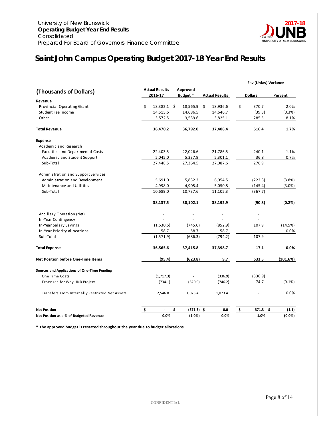

## *Saint John Campus Operating Budget 2017-18 Year End Results*

|                                                 |                       |        |              |      |                       | Fav (Unfav) Variance |           |
|-------------------------------------------------|-----------------------|--------|--------------|------|-----------------------|----------------------|-----------|
| (Thousands of Dollars)                          | <b>Actual Results</b> |        | Approved     |      |                       |                      |           |
| Revenue                                         | 2016-17               |        | Budget *     |      | <b>Actual Results</b> | <b>Dollars</b>       | Percent   |
| <b>Provincial Operating Grant</b>               | \$<br>18,382.1 \$     |        | 18,565.9     | - \$ | 18,936.6              | \$<br>370.7          | 2.0%      |
| Student Fee Income                              | 14,515.6              |        | 14,686.5     |      | 14,646.7              | (39.8)               | (0.3%     |
| Other                                           | 3,572.5               |        | 3,539.6      |      | 3,825.1               | 285.5                | 8.1%      |
|                                                 |                       |        |              |      |                       |                      |           |
| <b>Total Revenue</b>                            | 36,470.2              |        | 36,792.0     |      | 37,408.4              | 616.4                | 1.7%      |
| <b>Expense</b>                                  |                       |        |              |      |                       |                      |           |
| Academic and Research                           |                       |        |              |      |                       |                      |           |
| Faculties and Departmental Costs                | 22,403.5              |        | 22,026.6     |      | 21,786.5              | 240.1                | 1.1%      |
| Academic and Student Support                    | 5,045.0               |        | 5,337.9      |      | 5,301.1               | 36.8                 | 0.7%      |
| Sub-Total                                       | 27,448.5              |        | 27,364.5     |      | 27,087.6              | 276.9                |           |
| Administration and Support Services             |                       |        |              |      |                       |                      |           |
| Administration and Development                  | 5,691.0               |        | 5,832.2      |      | 6,054.5               | (222.3)              | (3.8%)    |
| Maintenance and Utilities                       | 4,998.0               |        | 4,905.4      |      | 5,050.8               | (145.4)              | $(3.0\%)$ |
| Sub-Total                                       | 10,689.0              |        | 10,737.6     |      | 11,105.3              | (367.7)              |           |
|                                                 | 38,137.5              |        | 38,102.1     |      | 38,192.9              | (90.8)               | (0.2%     |
| Ancillary Operation (Net)                       |                       |        |              |      |                       |                      |           |
| In-Year Contingency                             |                       |        |              |      |                       |                      |           |
| In-Year Salary Savings                          | (1,630.6)             |        | (745.0)      |      | (852.9)               | 107.9                | (14.5%)   |
| In-Year Priority Allocations                    |                       | 58.7   | 58.7         |      | 58.7                  |                      | 0.0%      |
| Sub-Total                                       | (1,571.9)             |        | (686.3)      |      | (794.2)               | 107.9                |           |
| <b>Total Expense</b>                            | 36,565.6              |        | 37,415.8     |      | 37,398.7              | 17.1                 | 0.0%      |
| <b>Net Position before One-Time Items</b>       |                       | (95.4) | (623.8)      |      | 9.7                   | 633.5                | (101.6%)  |
| Sources and Applications of One-Time Funding    |                       |        |              |      |                       |                      |           |
| One Time Costs                                  | (1,717.3)             |        |              |      | (336.9)               | (336.9)              |           |
| Expenses for Why UNB Project                    | (734.1)               |        | (820.9)      |      | (746.2)               | 74.7                 | $(9.1\%)$ |
| Transfers From Internally Restricted Net Assets | 2,546.8               |        | 1,073.4      |      | 1,073.4               |                      | 0.0%      |
| <b>Net Position</b>                             | \$                    | \$.    | $(371.3)$ \$ |      | 0.0                   | \$<br>$371.3$ \$     | (1.1)     |
| Net Position as a % of Budgeted Revenue         |                       | 0.0%   | (1.0%)       |      | 0.0%                  | 1.0%                 | (0.0%     |

**\* the approved budget is restated throughout the year due to budget allocations**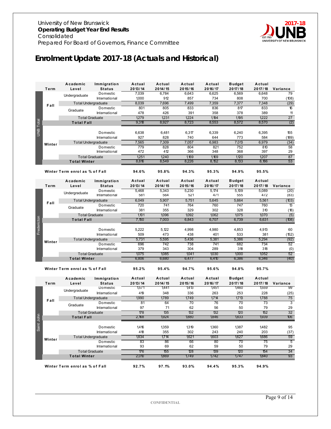

# **Enrolment Update 2017-18 (Actuals and Historical)**

|                  | Term   | Academic<br>Level              | <b>Immigration</b><br><b>Status</b> | Actual<br>2013/14 | Actual<br>2014/15 | Actual<br>2015/16 | Actual<br>2016/17 | <b>Budget</b><br>2017/18 | Actual<br>2017/18 | Variance        |
|------------------|--------|--------------------------------|-------------------------------------|-------------------|-------------------|-------------------|-------------------|--------------------------|-------------------|-----------------|
|                  |        |                                | Domestic                            | 7,039             | 6,784             | 6,643             | 6,625             | 6,569                    | 6,648             | 79              |
|                  |        | Undergraduate                  | <b>International</b>                | 1,000             | 912               | 857               | 734               | 808                      | 700               | (108)           |
|                  | Fall   |                                | <b>Total Undergraduate</b>          | 8,039             | 7,696             | 7,499             | 7,359             | 7,377                    | 7,348             | (29)            |
|                  |        | Graduate                       | Domestic                            | 801               | 805               | 833               | 836               | 817                      | 833               | 16              |
|                  |        |                                | <b>International</b>                | 478               | 426               | 391               | 358               | 378                      | 389               | 11              |
|                  |        |                                | <b>Total Graduate</b>               | 1,279             | 1,231             | 1,224             | 1,194             | 1,195                    | 1,222             | $\overline{27}$ |
| <b>UNB Total</b> |        | <b>Total Fall</b>              |                                     | 9,318             | 8,927             | 8,723             | 8,553             | 8,572                    | 8,570             | (2)             |
|                  |        |                                |                                     |                   |                   |                   |                   |                          |                   |                 |
|                  |        |                                | Domestic<br><b>International</b>    | 6,638<br>927      | 6,481<br>828      | 6,317<br>740      | 6,339<br>644      | 6,240<br>773             | 6,395<br>584      | 155<br>(189)    |
|                  |        |                                | <b>Total Undergraduate</b>          | 7,565             | 7,309             | 7,057             | 6,983             | 7,013                    | 6,979             | (34)            |
|                  | Winter |                                | Domestic                            | 779               | 828               | 804               | 821               | 752                      | 810               | 58              |
|                  |        |                                | <b>International</b>                | 472               | 412               | 366               | 348               | 368                      | 397               | 29              |
|                  |        |                                | <b>Total Graduate</b>               | 1,251             | 1,240             | 1,169             | 1,169             | 1,120                    | 1,207             | 87              |
|                  |        | <b>Total Winter</b>            |                                     | 8,816             | 8,549             | 8,226             | 8,152             | 8,133                    | 8,186             | 53              |
|                  |        | Winter Term enrol as % of Fall |                                     | 94.6%             | 95.8%             | 94.3%             | 95.3%             | 94.9%                    | 95.5%             |                 |
|                  |        | Academic                       | Immigration                         | Actual            | Actual            | Actual            | Actual            | Budget                   | Actual            |                 |
|                  | Term   | Level                          | <b>Status</b>                       | 2013/14           | 2014/15           | 2015/16           | 2016/17           | 2017/18                  | 2017/18           | Variance        |
|                  |        | Undergraduate                  | Domestic                            | 5,468             | 5,343             | 5,230             | 5,174             | 5,109                    | 5,089             | (20)            |
|                  |        |                                | <b>International</b>                | 581               | 564               | 521               | 471               | 555                      | 472               | (83)            |
|                  | Fall   |                                | <b>Total Undergraduate</b>          | 6,049             | 5,907             | 5,751             | 5,645             | 5,664                    | 5,561             | (103)           |
|                  |        | Graduate                       | Domestic<br><b>International</b>    | 720<br>381        | 741<br>355        | 764<br>329        | 760<br>302        | 747<br>328               | 760<br>310        | 13<br>(18)      |
|                  |        |                                | <b>Total Graduate</b>               | 1,101             | 1,096             | 1,092             | 1,062             | 1,075                    | 1,070             | (5)             |
|                  |        | <b>Total Fall</b>              |                                     | 7,150             | 7,003             | 6,843             | 6,707             | 6,739                    | 6,631             | (108)           |
| Fredericton      |        |                                |                                     |                   |                   |                   |                   |                          |                   |                 |
|                  |        |                                | Domestic                            | 5,222             | 5,122             | 4,998             | 4,980             | 4,853                    | 4,913             | 60              |
|                  |        |                                | <b>International</b>                | 509               | 473               | 438               | 401               | 533                      | 381               | (152)           |
|                  | Winter |                                | <b>Total Undergraduate</b>          | 5,731             | 5,595             | 5,436             | 5,381             | 5,386                    | 5,294             | (92)            |
|                  |        |                                | Domestic                            | 696               | 742               | 738               | 741               | 682                      | 734               | 52              |
|                  |        |                                | <b>International</b>                | 379               | 343               | 304               | 289               | 318                      | 318               | (0)             |
|                  |        | <b>Total Winter</b>            | <b>Total Graduate</b>               | 1,075<br>6,806    | 1,085<br>6,680    | 1,041<br>6,477    | 1,030<br>6,410    | 1,000<br>6,386           | 1,052<br>6,346    | 52<br>(40)      |
|                  |        |                                |                                     |                   |                   |                   |                   |                          |                   |                 |
|                  |        | Winter Term enrol as % of Fall |                                     | 95.2%             | 95.4%             | 94.7%             | 95.6%             | 94.8%                    | 95.7%             |                 |
|                  |        | Academic                       | Immigration                         | Actual            | Actual            | Actual            | Actual            | <b>Budget</b>            | Actual            |                 |
|                  | Term   | Level                          | <b>Status</b><br>Domestic           | 2013/14           | 2014/15           | 2015/16           | 2016/17           | 2017/18                  | 2017/18<br>1,559  | Variance<br>-99 |
|                  |        | Undergraduate                  | <b>International</b>                | 1,571<br>419      | 1,441<br>348      | 1,413<br>336      | 1,451<br>263      | 1,460<br>253             | 228               | (25)            |
|                  |        |                                | <b>Total Undergraduate</b>          | 1,990             | 1,789             | 1,749             | 174               | 1,713                    | 1,788             | 75              |
|                  | Fall   |                                | Domestic                            | 81                | 64                | 70                | 76                | 70                       | 73                | 3               |
|                  |        | Graduate                       | <b>International</b>                | 97                | 71                | 62                | 56                | 50                       | 79                | 29              |
|                  |        |                                | <b>Total Graduate</b>               | 178               | 135               | 132               | 132               | 120                      | 152               | $\overline{32}$ |
| : John           |        | <b>Total Fall</b>              |                                     | 2,168             | 1924              | 1.880             | 1846              | 1.833                    | 1939              | 106             |
|                  |        |                                |                                     |                   |                   |                   |                   |                          |                   |                 |
| Saint            |        |                                | Domestic<br><b>International</b>    | 1,416<br>418      | 1,359<br>355      | 1,319<br>302      | 1,360<br>243      | 1,387<br>240             | 1,482<br>203      | 95<br>(37)      |
|                  |        |                                | <b>Total Undergraduate</b>          | 1,834             | 1,714             | 1,621             | 1,603             | 1,627                    | 1,686             | 59              |
|                  | Winter |                                | Domestic                            | 83                | 86                | 66                | 80                | 70                       | 75                | 5               |
|                  |        |                                | International                       | 93                | 69                | 62                | 59                | 50                       | 79                | 29              |
|                  |        |                                | <b>Total Graduate</b>               | 176               | 155               | 128               | 139               | 120                      | 154               | 34              |
|                  |        | <b>Total Winter</b>            |                                     | 2,010             | 1,869             | 1,749             | 1,742             | 1,747                    | 1,840             | 93              |
|                  |        | Winter Term enrol as % of Fall |                                     | 92.7%             | 97.1%             | 93.0%             | 94.4%             | 95.3%                    | 94.9%             |                 |

**CONFIDENTIAL**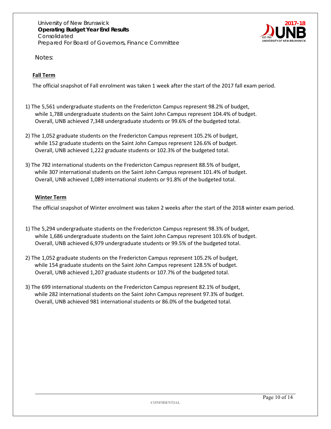University of New Brunswick **Operating Budget Year End Results**  Consolidated Prepared For Board of Governors, Finance Committee



Notes:

#### **Fall Term**

The official snapshot of Fall enrolment was taken 1 week after the start of the 2017 fall exam period.

- 1) The 5,561 undergraduate students on the Fredericton Campus represent 98.2% of budget, while 1,788 undergraduate students on the Saint John Campus represent 104.4% of budget. Overall, UNB achieved 7,348 undergraduate students or 99.6% of the budgeted total.
- 2) The 1,052 graduate students on the Fredericton Campus represent 105.2% of budget, while 152 graduate students on the Saint John Campus represent 126.6% of budget. Overall, UNB achieved 1,222 graduate students or 102.3% of the budgeted total.
- 3) The 782 international students on the Fredericton Campus represent 88.5% of budget, while 307 international students on the Saint John Campus represent 101.4% of budget. Overall, UNB achieved 1,089 international students or 91.8% of the budgeted total.

#### **Winter Term**

The official snapshot of Winter enrolment was taken 2 weeks after the start of the 2018 winter exam period.

- 1) The 5,294 undergraduate students on the Fredericton Campus represent 98.3% of budget, while 1,686 undergraduate students on the Saint John Campus represent 103.6% of budget. Overall, UNB achieved 6,979 undergraduate students or 99.5% of the budgeted total.
- 2) The 1,052 graduate students on the Fredericton Campus represent 105.2% of budget, while 154 graduate students on the Saint John Campus represent 128.5% of budget. Overall, UNB achieved 1,207 graduate students or 107.7% of the budgeted total.
- 3) The 699 international students on the Fredericton Campus represent 82.1% of budget, while 282 international students on the Saint John Campus represent 97.3% of budget. Overall, UNB achieved 981 international students or 86.0% of the budgeted total.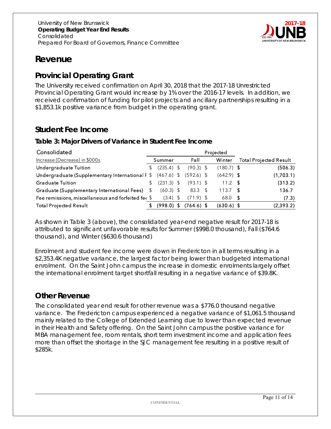

# **Revenue**

## **Provincial Operating Grant**

The University received confirmation on April 30, 2018 that the 2017-18 Unrestricted Provincial Operating Grant would increase by 1% over the 2016-17 levels. In addition, we received confirmation of funding for pilot projects and ancillary partnerships resulting in a \$1,853.1k positive variance from budget in the operating grant.

## **Student Fee Income**

#### **Table 3: Major Drivers of Variance in Student Fee Income**

| Consolidated                                               |        |              |  |                   |              |                               |
|------------------------------------------------------------|--------|--------------|--|-------------------|--------------|-------------------------------|
| Increase (Decrease) in \$000s                              | Summer |              |  | Fall              | Winter       | <b>Total Projected Result</b> |
| <b>Undergraduate Tuition</b>                               | \$.    | $(235.4)$ \$ |  | $(90.3)$ \$       | $(180.7)$ \$ | (506.3)                       |
| Undergraduate (Supplementary International F \$ (467.6) \$ |        |              |  | $(592.6)$ \$      | $(642.9)$ \$ | (1,703.1)                     |
| <b>Graduate Tuition</b>                                    | S.     | $(231.3)$ \$ |  | $(93.1)$ \$       | $11.2$ \$    | (313.2)                       |
| Graduate (Supplementary International Fees) \$             |        | $(60.3)$ \$  |  | 83.3 <sup>5</sup> | $113.7$ \$   | 136.7                         |
| Fee remissions, miscellaneous and forfeited fee $$$        |        | $(3.4)$ \$   |  | $(71.9)$ \$       | $68.0$ \$    | (7.3)                         |
| <b>Total Projected Result</b>                              |        | $(998.0)$ \$ |  | $(764.6)$ \$      | $(630.6)$ \$ | (2,393.2)                     |

As shown in Table 3 (above), the consolidated year-end negative result for 2017-18 is attributed to significant unfavorable results for Summer (\$998.0 thousand), Fall (\$764.6 thousand), and Winter (\$630.6 thousand)

Enrolment and student fee income were down in Fredericton in all terms resulting in a \$2,353.4K negative variance, the largest factor being lower than budgeted international enrolment. On the Saint John campus the increase in domestic enrolments largely offset the international enrolment target shortfall resulting in a negative variance of \$39.8K.

#### **Other Revenue**

The consolidated year end result for other revenue was a \$776.0 thousand negative variance. The Fredericton campus experienced a negative variance of \$1,061.5 thousand mainly related to the College of Extended Learning due to lower than expected revenue in their Health and Safety offering. On the Saint John campus the positive variance for MBA management fee, room rentals, short term investment income and application fees more than offset the shortage in the SJC management fee resulting in a positive result of \$285k.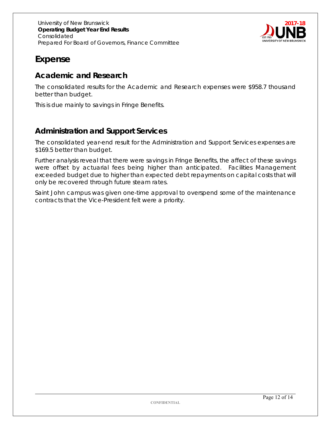

# **Expense**

### *Academic and Research*

The consolidated results for the Academic and Research expenses were \$958.7 thousand better than budget.

This is due mainly to savings in Fringe Benefits.

## *Administration and Support Services*

The consolidated year-end result for the Administration and Support Services expenses are \$169.5 better than budget.

Further analysis reveal that there were savings in Fringe Benefits, the affect of these savings were offset by actuarial fees being higher than anticipated. Facilities Management exceeded budget due to higher than expected debt repayments on capital costs that will only be recovered through future steam rates.

Saint John campus was given one-time approval to overspend some of the maintenance contracts that the Vice-President felt were a priority.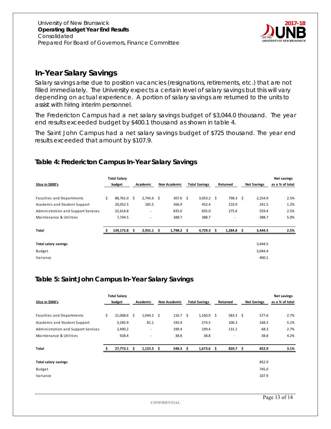

## *In-Year Salary Savings*

Salary savings arise due to position vacancies (resignations, retirements, etc.) that are not filled immediately. The University expects a certain level of salary savings but this will vary depending on actual experience. A portion of salary savings are returned to the units to assist with hiring interim personnel.

The Fredericton Campus had a net salary savings budget of \$3,044.0 thousand. The year end results exceeded budget by \$400.1 thousand as shown in table 4.

The Saint John Campus had a net salary savings budget of \$725 thousand. The year end results exceeded that amount by \$107.9.

#### **Slice in \$000's Total Salary budget Academic Non Academic Total Savings Returned Net Savings Net savings as a % of total**  Faculties and Departments  $\frac{2}{5}$   $\frac{88}{761.0}$   $\frac{2}{5}$   $\frac{2,745.6}{2,745.6}$   $\frac{2}{5}$   $\frac{307.6}{3,053.2}$   $\frac{2}{5}$   $\frac{798.3}{798.3}$   $\frac{2}{5}$   $\frac{2,254.9}{2,254.9}$  2.5% Academic and Student Support  $20,052.5$  185.5  $266.9$  452.4  $210.9$  241.5 1.2% Admini s tra tion and Support Services 22,614.8 ‐ 835.0 835.0 275.6 559.4 2.5% Mai ntenance & Utili ties 7,744.5 ‐ 388.7 388.7 ‐ 388.7 5.0% **Total 139,172.8 \$ 2,931.1 \$ 1,798.2 \$ 4,729.3 \$ 1,284.8 \$ 3,444.5 \$ 2.5% Total salary savings** 3,444.5 Budget 3,044.4 Va riance 400.1

#### **Table 4: Fredericton Campus In-Year Salary Savings**

#### **Table 5: Saint John Campus In-Year Salary Savings**

|                                     |    | <b>Total Salary</b> |    |                    |    |                     |  |                      |  |            |  |                    | <b>Net savings</b> |
|-------------------------------------|----|---------------------|----|--------------------|----|---------------------|--|----------------------|--|------------|--|--------------------|--------------------|
| Slice in \$000's                    |    | budget              |    | Academic           |    | <b>Non Academic</b> |  | <b>Total Savings</b> |  | Returned   |  | <b>Net Savings</b> | as a % of total    |
| <b>Faculties and Departments</b>    | \$ | 21,068.6            | \$ | $1,044.2 \quad$ \$ |    | 116.7 <sup>5</sup>  |  | $1,160.9$ \$         |  | $583.3$ \$ |  | 577.6              | 2.7%               |
| Academic and Student Support        |    | 3,285.9             |    | 81.1               |    | 193.4               |  | 274.5                |  | 106.3      |  | 168.2              | 5.1%               |
| Administration and Support Services |    | 2,490.2             |    | ٠                  |    | 199.4               |  | 199.4                |  | 131.1      |  | 68.3               | 2.7%               |
| Maintenance & Utilities             |    | 928.4               |    | ٠                  |    | 38.8                |  | 38.8                 |  | ۰          |  | 38.8               | 4.2%               |
| Total                               |    | 27,773.1            | S. | 1,125.3            | Ŝ. | 548.3 <sup>5</sup>  |  | $1,673.6$ \$         |  | 820.7      |  | 852.9              | 3.1%               |
| <b>Total salary savings</b>         |    |                     |    |                    |    |                     |  |                      |  |            |  | 852.9              |                    |
| Budget                              |    |                     |    |                    |    |                     |  |                      |  |            |  | 745.0              |                    |
| Variance                            |    |                     |    |                    |    |                     |  |                      |  |            |  | 107.9              |                    |